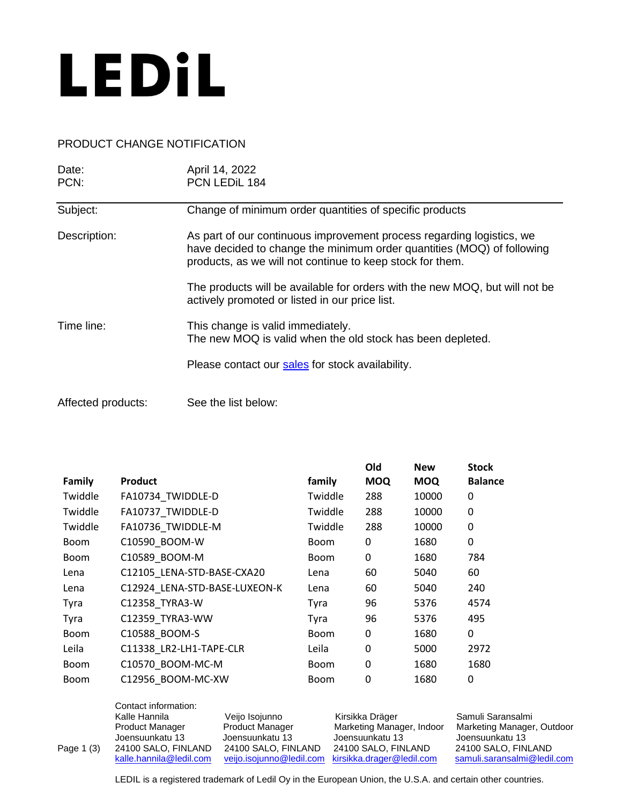

## PRODUCT CHANGE NOTIFICATION

| Date:              | April 14, 2022                                                                                                                                                                                               |  |
|--------------------|--------------------------------------------------------------------------------------------------------------------------------------------------------------------------------------------------------------|--|
| PCN:               | PCN LEDIL 184                                                                                                                                                                                                |  |
| Subject:           | Change of minimum order quantities of specific products                                                                                                                                                      |  |
| Description:       | As part of our continuous improvement process regarding logistics, we<br>have decided to change the minimum order quantities (MOQ) of following<br>products, as we will not continue to keep stock for them. |  |
|                    | The products will be available for orders with the new MOQ, but will not be<br>actively promoted or listed in our price list.                                                                                |  |
| Time line:         | This change is valid immediately.<br>The new MOQ is valid when the old stock has been depleted.                                                                                                              |  |
|                    | Please contact our sales for stock availability.                                                                                                                                                             |  |
| Affected products: | See the list below:                                                                                                                                                                                          |  |

|             |                               |             | Old        | <b>New</b> | <b>Stock</b>   |
|-------------|-------------------------------|-------------|------------|------------|----------------|
| Family      | <b>Product</b>                | family      | <b>MOQ</b> | <b>MOQ</b> | <b>Balance</b> |
| Twiddle     | FA10734_TWIDDLE-D             | Twiddle     | 288        | 10000      | 0              |
| Twiddle     | FA10737 TWIDDLE-D             | Twiddle     | 288        | 10000      | 0              |
| Twiddle     | FA10736_TWIDDLE-M             | Twiddle     | 288        | 10000      | 0              |
| <b>Boom</b> | C10590_BOOM-W                 | <b>Boom</b> | 0          | 1680       | 0              |
| <b>Boom</b> | C10589 BOOM-M                 | <b>Boom</b> | 0          | 1680       | 784            |
| Lena        | C12105 LENA-STD-BASE-CXA20    | Lena        | 60         | 5040       | 60             |
| Lena        | C12924 LENA-STD-BASE-LUXEON-K | Lena        | 60         | 5040       | 240            |
| Tyra        | C12358_TYRA3-W                | Tyra        | 96         | 5376       | 4574           |
| Tyra        | C12359_TYRA3-WW               | Tyra        | 96         | 5376       | 495            |
| <b>Boom</b> | C10588_BOOM-S                 | <b>Boom</b> | 0          | 1680       | 0              |
| Leila       | C11338_LR2-LH1-TAPE-CLR       | Leila       | 0          | 5000       | 2972           |
| <b>Boom</b> | C10570_BOOM-MC-M              | <b>Boom</b> | 0          | 1680       | 1680           |
| <b>Boom</b> | C12956 BOOM-MC-XW             | <b>Boom</b> | 0          | 1680       | 0              |
|             |                               |             |            |            |                |

|            | Contact information:    |                        |                                                    |                             |
|------------|-------------------------|------------------------|----------------------------------------------------|-----------------------------|
|            | Kalle Hannila           | Veijo Isojunno         | Kirsikka Dräger                                    | Samuli Saransalmi           |
|            | Product Manager         | <b>Product Manager</b> | Marketing Manager, Indoor                          | Marketing Manager, Outdoor  |
|            | Joensuunkatu 13         | Joensuunkatu 13        | Joensuunkatu 13                                    | Joensuunkatu 13             |
| Page 1 (3) | 24100 SALO, FINLAND     | 24100 SALO, FINLAND    | 24100 SALO, FINLAND                                | 24100 SALO, FINLAND         |
|            | kalle.hannila@ledil.com |                        | veijo.isojunno@ledil.com kirsikka.drager@ledil.com | samuli.saransalmi@ledil.com |
|            |                         |                        |                                                    |                             |

LEDIL is a registered trademark of Ledil Oy in the European Union, the U.S.A. and certain other countries.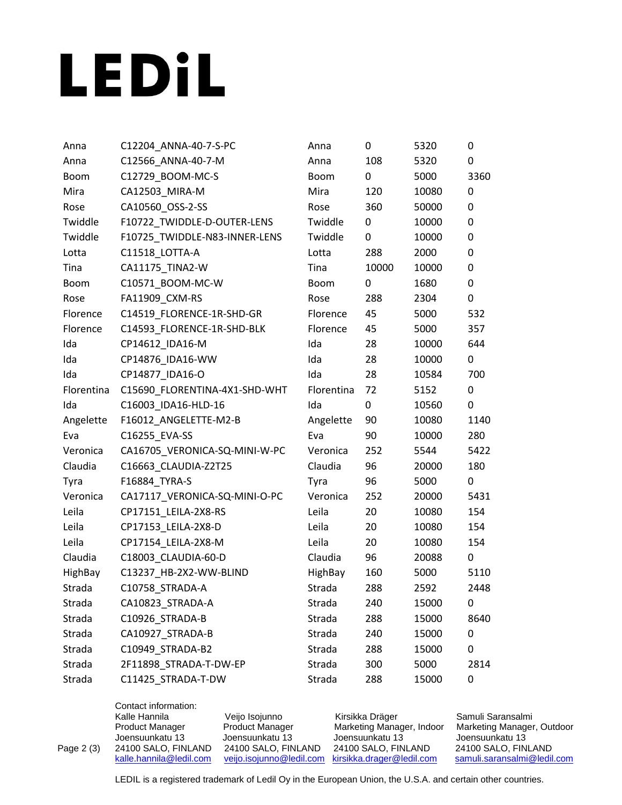## LEDIL

| Anna        | C12204_ANNA-40-7-S-PC         | Anna        | 0     | 5320  | 0    |
|-------------|-------------------------------|-------------|-------|-------|------|
| Anna        | C12566_ANNA-40-7-M            | Anna        | 108   | 5320  | 0    |
| <b>Boom</b> | C12729_BOOM-MC-S              | <b>Boom</b> | 0     | 5000  | 3360 |
| Mira        | CA12503_MIRA-M                | Mira        | 120   | 10080 | 0    |
| Rose        | CA10560_OSS-2-SS              | Rose        | 360   | 50000 | 0    |
| Twiddle     | F10722_TWIDDLE-D-OUTER-LENS   | Twiddle     | 0     | 10000 | 0    |
| Twiddle     | F10725_TWIDDLE-N83-INNER-LENS | Twiddle     | 0     | 10000 | 0    |
| Lotta       | C11518_LOTTA-A                | Lotta       | 288   | 2000  | 0    |
| Tina        | CA11175 TINA2-W               | Tina        | 10000 | 10000 | 0    |
| <b>Boom</b> | C10571_BOOM-MC-W              | <b>Boom</b> | 0     | 1680  | 0    |
| Rose        | FA11909_CXM-RS                | Rose        | 288   | 2304  | 0    |
| Florence    | C14519_FLORENCE-1R-SHD-GR     | Florence    | 45    | 5000  | 532  |
| Florence    | C14593_FLORENCE-1R-SHD-BLK    | Florence    | 45    | 5000  | 357  |
| Ida         | CP14612_IDA16-M               | Ida         | 28    | 10000 | 644  |
| Ida         | CP14876_IDA16-WW              | Ida         | 28    | 10000 | 0    |
| Ida         | CP14877_IDA16-O               | Ida         | 28    | 10584 | 700  |
| Florentina  | C15690_FLORENTINA-4X1-SHD-WHT | Florentina  | 72    | 5152  | 0    |
| Ida         | C16003 IDA16-HLD-16           | Ida         | 0     | 10560 | 0    |
| Angelette   | F16012_ANGELETTE-M2-B         | Angelette   | 90    | 10080 | 1140 |
| Eva         | C16255_EVA-SS                 | Eva         | 90    | 10000 | 280  |
| Veronica    | CA16705_VERONICA-SQ-MINI-W-PC | Veronica    | 252   | 5544  | 5422 |
| Claudia     | C16663_CLAUDIA-Z2T25          | Claudia     | 96    | 20000 | 180  |
| Tyra        | F16884_TYRA-S                 | Tyra        | 96    | 5000  | 0    |
| Veronica    | CA17117_VERONICA-SQ-MINI-O-PC | Veronica    | 252   | 20000 | 5431 |
| Leila       | CP17151_LEILA-2X8-RS          | Leila       | 20    | 10080 | 154  |
| Leila       | CP17153_LEILA-2X8-D           | Leila       | 20    | 10080 | 154  |
| Leila       | CP17154_LEILA-2X8-M           | Leila       | 20    | 10080 | 154  |
| Claudia     | C18003 CLAUDIA-60-D           | Claudia     | 96    | 20088 | 0    |
| HighBay     | C13237_HB-2X2-WW-BLIND        | HighBay     | 160   | 5000  | 5110 |
| Strada      | C10758 STRADA-A               | Strada      | 288   | 2592  | 2448 |
| Strada      | CA10823_STRADA-A              | Strada      | 240   | 15000 | 0    |
| Strada      | C10926 STRADA-B               | Strada      | 288   | 15000 | 8640 |
| Strada      | CA10927_STRADA-B              | Strada      | 240   | 15000 | 0    |
| Strada      | C10949_STRADA-B2              | Strada      | 288   | 15000 | 0    |
| Strada      | 2F11898_STRADA-T-DW-EP        | Strada      | 300   | 5000  | 2814 |
| Strada      | C11425_STRADA-T-DW            | Strada      | 288   | 15000 | 0    |
|             |                               |             |       |       |      |

Contact information: Kalle Hannila Veijo Isojunno Kirsikka Dräger Samuli Saransalmi<br>Product Manager Product Manager Marketing Manager, Indoor Marketing Manager Product Manager Product Manager Marketing Manager, Indoor Marketing Manager, Outdoor Joensuunkatu 13 Joensuunkatu 13 Joensuunkatu 13 Joensuunkatu 13 Page 2 (3) 24100 SALO, FINLAND 24100 SALO, FINLAND 24100 SALO, FINLAND <br>
<u>kalle.hannila@ledil.com</u> yeijo.isojunno@ledil.com kirsikka.drager@ledil.com [samuli.saransalmi@ledil.com](mailto:samuli.saransalmi@ledil.com)

LEDIL is a registered trademark of Ledil Oy in the European Union, the U.S.A. and certain other countries.